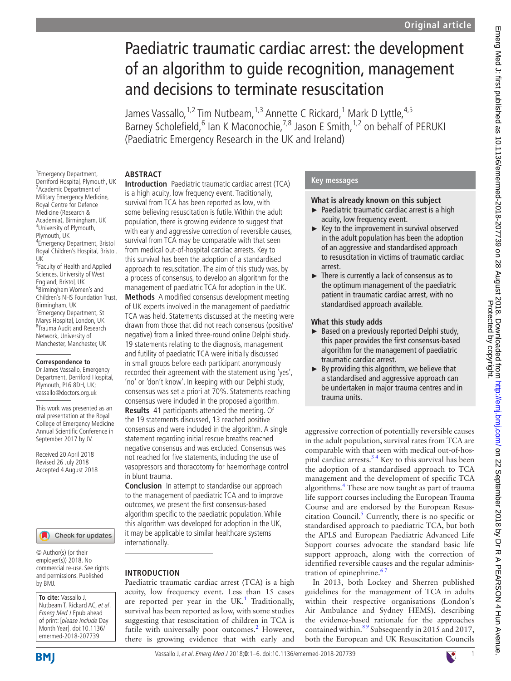# Paediatric traumatic cardiac arrest: the development of an algorithm to guide recognition, management and decisions to terminate resuscitation

James Vassallo,<sup>1,2</sup> Tim Nutbeam,<sup>1,3</sup> Annette C Rickard,<sup>1</sup> Mark D Lyttle,<sup>4,5</sup> Barney Scholefield, <sup>6</sup> Ian K Maconochie, <sup>7,8</sup> Jason E Smith, <sup>1,2</sup> on behalf of PERUKI (Paediatric Emergency Research in the UK and Ireland)

## **Abstract**

Derriford Hospital, Plymouth, UK <sup>2</sup> Academic Department of Military Emergency Medicine, Royal Centre for Defence Medicine (Research & Academia), Birmingham, UK <sup>3</sup>University of Plymouth, Plymouth, UK 4 Emergency Department, Bristol Royal Children's Hospital, Bristol, UK 5 Faculty of Health and Applied Sciences, University of West England, Bristol, UK 6 Birmingham Women's and Children's NHS Foundation Trust, Birmingham, UK <sup>7</sup> Emergency Department, St Marys Hospital, London, UK 8 Trauma Audit and Research Network, University of Manchester, Manchester, UK

1 Emergency Department,

#### **Correspondence to**

Dr James Vassallo, Emergency Department, Derriford Hospital, Plymouth, PL6 8DH, UK; vassallo@doctors.org.uk

This work was presented as an oral presentation at the Royal College of Emergency Medicine Annual Scientific Conference in September 2017 by JV.

Received 20 April 2018 Revised 26 July 2018 Accepted 4 August 2018

## Check for updates

© Author(s) (or their employer(s)) 2018. No commercial re-use. See rights and permissions. Published by BMJ.

#### **To cite:** Vassallo J, Nutbeam T, Rickard AC, et al. Emerg Med J Epub ahead of print: [please include Day Month Year]. doi:10.1136/ emermed-2018-207739

**BMI** 

**Introduction** Paediatric traumatic cardiac arrest (TCA) is a high acuity, low frequency event. Traditionally, survival from TCA has been reported as low, with some believing resuscitation is futile. Within the adult population, there is growing evidence to suggest that with early and aggressive correction of reversible causes, survival from TCA may be comparable with that seen from medical out-of-hospital cardiac arrests. Key to this survival has been the adoption of a standardised approach to resuscitation. The aim of this study was, by a process of consensus, to develop an algorithm for the management of paediatric TCA for adoption in the UK. **Methods** A modified consensus development meeting of UK experts involved in the management of paediatric TCA was held. Statements discussed at the meeting were drawn from those that did not reach consensus (positive/ negative) from a linked three-round online Delphi study. 19 statements relating to the diagnosis, management and futility of paediatric TCA were initially discussed in small groups before each participant anonymously recorded their agreement with the statement using 'yes', 'no' or 'don't know'. In keeping with our Delphi study,

consensus was set a priori at 70%. Statements reaching consensus were included in the proposed algorithm. **Results** 41 participants attended the meeting. Of the 19 statements discussed, 13 reached positive consensus and were included in the algorithm. A single statement regarding initial rescue breaths reached negative consensus and was excluded. Consensus was not reached for five statements, including the use of vasopressors and thoracotomy for haemorrhage control in blunt trauma.

**Conclusion** In attempt to standardise our approach to the management of paediatric TCA and to improve outcomes, we present the first consensus-based algorithm specific to the paediatric population. While this algorithm was developed for adoption in the UK, it may be applicable to similar healthcare systems internationally.

## **Introduction**

Paediatric traumatic cardiac arrest (TCA) is a high acuity, low frequency event. Less than 15 cases are reported per year in the UK.<sup>1</sup> Traditionally, survival has been reported as low, with some studies suggesting that resuscitation of children in TCA is futile with universally poor outcomes.<sup>2</sup> However, there is growing evidence that with early and

## **Key messages**

#### **What is already known on this subject**

- ► Paediatric traumatic cardiac arrest is a high acuity, low frequency event.
- Key to the improvement in survival observed in the adult population has been the adoption of an aggressive and standardised approach to resuscitation in victims of traumatic cardiac arrest.
- ► There is currently a lack of consensus as to the optimum management of the paediatric patient in traumatic cardiac arrest, with no standardised approach available.

## **What this study adds**

- $ightharpoonright$  Based on a previously reported Delphi study, this paper provides the first consensus-based algorithm for the management of paediatric traumatic cardiac arrest.
- $\blacktriangleright$  By providing this algorithm, we believe that a standardised and aggressive approach can be undertaken in major trauma centres and in trauma units.

aggressive correction of potentially reversible causes in the adult population, survival rates from TCA are comparable with that seen with medical out-of-hospital cardiac arrests. $34$  Key to this survival has been the adoption of a standardised approach to TCA management and the development of specific TCA algorithms.[4](#page-4-3) These are now taught as part of trauma life support courses including the European Trauma Course and are endorsed by the European Resuscitation Council. $<sup>5</sup>$  $<sup>5</sup>$  $<sup>5</sup>$  Currently, there is no specific or</sup> standardised approach to paediatric TCA, but both the APLS and European Paediatric Advanced Life Support courses advocate the standard basic life support approach, along with the correction of identified reversible causes and the regular administration of epinephrine.<sup>67</sup>

In 2013, both Lockey and Sherren published guidelines for the management of TCA in adults within their respective organisations (London's Air Ambulance and Sydney HEMS), describing the evidence-based rationale for the approaches contained within. $89$  Subsequently in 2015 and 2017, both the European and UK Resuscitation Councils

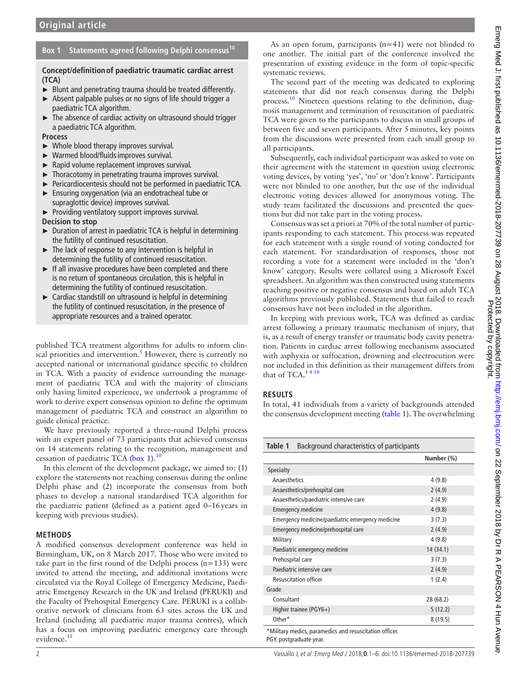## **Box 1 Statements agreed following Delphi consensu[s10](#page-5-3)**

### <span id="page-1-0"></span>**Concept/definitionof paediatric traumatic cardiac arrest (TCA)**

- ► Blunt and penetrating trauma should be treated differently.
- $\triangleright$  Absent palpable pulses or no signs of life should trigger a paediatric TCA algorithm.
- The absence of cardiac activity on ultrasound should trigger a paediatric TCA algorithm.

**Process**

- ► Whole blood therapy improves survival.
- ► Warmed blood/fluidsimproves survival.
- ► Rapid volume replacement improves survival.
- ► Thoracotomy in penetrating trauma improves survival.
- ► Pericardiocentesis should not be performed in paediatric TCA.
- ► Ensuring oxygenation (via an endotracheal tube or supraglottic device) improves survival.
- ► Providing ventilatory support improves survival.

### **Decision to stop**

- ► Duration of arrest in paediatric TCA is helpful in determining the futility of continued resuscitation.
- $\blacktriangleright$  The lack of response to any intervention is helpful in determining the futility of continued resuscitation.
- ► If all invasive procedures have been completed and there is no return of spontaneous circulation, this is helpful in determining the futility of continued resuscitation.
- $\blacktriangleright$  Cardiac standstill on ultrasound is helpful in determining the futility of continued resuscitation, in the presence of appropriate resources and a trained operator.

published TCA treatment algorithms for adults to inform clin-ical priorities and intervention.<sup>[5](#page-5-0)</sup> However, there is currently no accepted national or international guidance specific to children in TCA. With a paucity of evidence surrounding the management of paediatric TCA and with the majority of clinicians only having limited experience, we undertook a programme of work to derive expert consensus opinion to define the optimum management of paediatric TCA and construct an algorithm to guide clinical practice.

We have previously reported a three-round Delphi process with an expert panel of 73 participants that achieved consensus on 14 statements relating to the recognition, management and cessation of paediatric TCA [\(box](#page-1-0) 1).<sup>[10](#page-5-3)</sup>

In this element of the development package, we aimed to: (1) explore the statements not reaching consensus during the online Delphi phase and (2) incorporate the consensus from both phases to develop a national standardised TCA algorithm for the paediatric patient (defined as a patient aged 0–16years in keeping with previous studies).

## **Methods**

A modified consensus development conference was held in Birmingham, UK, on 8 March 2017. Those who were invited to take part in the first round of the Delphi process  $(n=133)$  were invited to attend the meeting, and additional invitations were circulated via the Royal College of Emergency Medicine, Paediatric Emergency Research in the UK and Ireland (PERUKI) and the Faculty of Prehospital Emergency Care. PERUKI is a collaborative network of clinicians from 63 sites across the UK and Ireland (including all paediatric major trauma centres), which has a focus on improving paediatric emergency care through evidence.<sup>[11](#page-5-4)</sup>

As an open forum, participants (n=41) were not blinded to one another. The initial part of the conference involved the presentation of existing evidence in the form of topic-specific systematic reviews.

The second part of the meeting was dedicated to exploring statements that did not reach consensus during the Delphi process.[10](#page-5-3) Nineteen questions relating to the definition, diagnosis management and termination of resuscitation of paediatric TCA were given to the participants to discuss in small groups of between five and seven participants. After 5minutes, key points from the discussions were presented from each small group to all participants.

Subsequently, each individual participant was asked to vote on their agreement with the statement in question using electronic voting devices, by voting 'yes', 'no' or 'don't know'. Participants were not blinded to one another, but the use of the individual electronic voting devices allowed for anonymous voting. The study team facilitated the discussions and presented the questions but did not take part in the voting process.

Consensus was set a priori at 70% of the total number of participants responding to each statement. This process was repeated for each statement with a single round of voting conducted for each statement. For standardisation of responses, those not recording a vote for a statement were included in the 'don't know' category. Results were collated using a Microsoft Excel spreadsheet. An algorithm was then constructed using statements reaching positive or negative consensus and based on adult TCA algorithms previously published. Statements that failed to reach consensus have not been included in the algorithm.

In keeping with previous work, TCA was defined as cardiac arrest following a primary traumatic mechanism of injury, that is, as a result of energy transfer or traumatic body cavity penetration. Patients in cardiac arrest following mechanisms associated with asphyxia or suffocation, drowning and electrocution were not included in this definition as their management differs from that of TCA.<sup>1410</sup>

## **Results**

In total, 41 individuals from a variety of backgrounds attended the consensus development meeting [\(table](#page-1-1) 1). The overwhelming

<span id="page-1-1"></span>

| Background characteristics of participants<br>Table 1                              |            |  |  |  |  |  |  |
|------------------------------------------------------------------------------------|------------|--|--|--|--|--|--|
|                                                                                    | Number (%) |  |  |  |  |  |  |
| Specialty                                                                          |            |  |  |  |  |  |  |
| Anaesthetics                                                                       | 4(9.8)     |  |  |  |  |  |  |
| Anaesthetics/prehospital care                                                      | 2(4.9)     |  |  |  |  |  |  |
| Anaesthetics/paediatric intensive care                                             | 2(4.9)     |  |  |  |  |  |  |
| <b>Emergency medicine</b>                                                          | 4(9.8)     |  |  |  |  |  |  |
| Emergency medicine/paediatric emergency medicine                                   | 3(7.3)     |  |  |  |  |  |  |
| Emergency medicine/prehospital care                                                | 2(4.9)     |  |  |  |  |  |  |
| Military                                                                           | 4(9.8)     |  |  |  |  |  |  |
| Paediatric emergency medicine                                                      | 14 (34.1)  |  |  |  |  |  |  |
| Prehospital care                                                                   | 3(7.3)     |  |  |  |  |  |  |
| Paediatric intensive care                                                          | 2(4.9)     |  |  |  |  |  |  |
| <b>Resuscitation officer</b>                                                       | 1(2.4)     |  |  |  |  |  |  |
| Grade                                                                              |            |  |  |  |  |  |  |
| Consultant                                                                         | 28 (68.2)  |  |  |  |  |  |  |
| Higher trainee (PGY6+)                                                             | 5(12.2)    |  |  |  |  |  |  |
| Other*                                                                             | 8(19.5)    |  |  |  |  |  |  |
| *Military medics, paramedics and resuscitation officer.<br>PGY, postgraduate vear. |            |  |  |  |  |  |  |

2 Vassallo J, et al. Emerg Med J 2018;**0**:1–6. doi:10.1136/emermed-2018-207739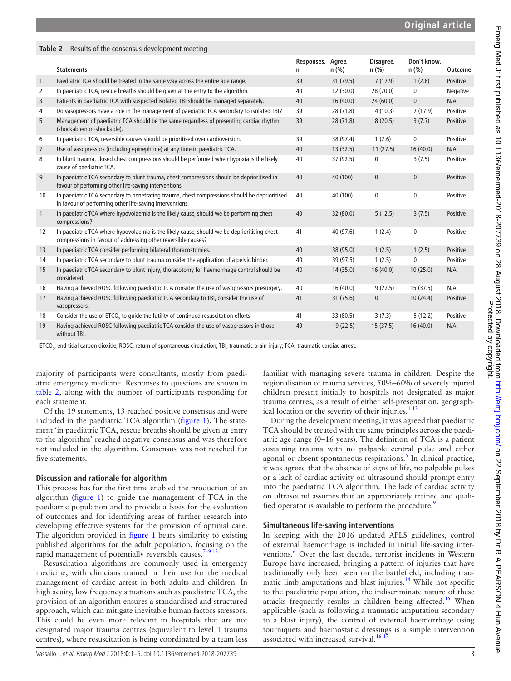|                |                                                                                                                                                              | Responses, | Agree,    | Disagree,    | Don't know,  |          |
|----------------|--------------------------------------------------------------------------------------------------------------------------------------------------------------|------------|-----------|--------------|--------------|----------|
|                | <b>Statements</b>                                                                                                                                            | n          | $n$ (%)   | $n$ (%)      | $n$ (%)      | Outcome  |
| $\mathbf{1}$   | Paediatric TCA should be treated in the same way across the entire age range.                                                                                | 39         | 31(79.5)  | 7(17.9)      | 1(2.6)       | Positive |
| 2              | In paediatric TCA, rescue breaths should be given at the entry to the algorithm.                                                                             | 40         | 12(30.0)  | 28 (70.0)    | $\mathbf 0$  | Negative |
| 3              | Patients in paediatric TCA with suspected isolated TBI should be managed separately.                                                                         | 40         | 16(40.0)  | 24(60.0)     | $\mathbf{0}$ | N/A      |
| 4              | Do vasopressors have a role in the management of paediatric TCA secondary to isolated TBI?                                                                   | 39         | 28 (71.8) | 4(10.3)      | 7(17.9)      | Positive |
| 5              | Management of paediatric TCA should be the same regardless of presenting cardiac rhythm<br>(shockable/non-shockable).                                        | 39         | 28 (71.8) | 8(20.5)      | 3(7.7)       | Positive |
| 6              | In paediatric TCA, reversible causes should be prioritised over cardioversion.                                                                               | 39         | 38 (97.4) | 1(2.6)       | $\mathbf 0$  | Positive |
| $\overline{7}$ | Use of vasopressors (including epinephrine) at any time in paediatric TCA.                                                                                   | 40         | 13(32.5)  | 11(27.5)     | 16(40.0)     | N/A      |
| 8              | In blunt trauma, closed chest compressions should be performed when hypoxia is the likely<br>cause of paediatric TCA.                                        | 40         | 37 (92.5) | 0            | 3(7.5)       | Positive |
| 9              | In paediatric TCA secondary to blunt trauma, chest compressions should be deprioritised in<br>favour of performing other life-saving interventions.          | 40         | 40 (100)  | $\mathbf{0}$ | $\mathbf{0}$ | Positive |
| 10             | In paediatric TCA secondary to penetrating trauma, chest compressions should be deprioritised<br>in favour of performing other life-saving interventions.    | 40         | 40 (100)  | 0            | $\mathbf{0}$ | Positive |
| 11             | In paediatric TCA where hypovolaemia is the likely cause, should we be performing chest<br>compressions?                                                     | 40         | 32 (80.0) | 5(12.5)      | 3(7.5)       | Positive |
| 12             | In paediatric TCA where hypovolaemia is the likely cause, should we be deprioritising chest<br>compressions in favour of addressing other reversible causes? | 41         | 40 (97.6) | 1(2.4)       | $\mathbf 0$  | Positive |
| 13             | In paediatric TCA consider performing bilateral thoracostomies.                                                                                              | 40         | 38 (95.0) | 1(2.5)       | 1(2.5)       | Positive |
| 14             | In paediatric TCA secondary to blunt trauma consider the application of a pelvic binder.                                                                     | 40         | 39 (97.5) | 1(2.5)       | 0            | Positive |
| 15             | In paediatric TCA secondary to blunt injury, thoracotomy for haemorrhage control should be<br>considered.                                                    | 40         | 14(35.0)  | 16(40.0)     | 10(25.0)     | N/A      |
| 16             | Having achieved ROSC following paediatric TCA consider the use of vasopressors presurgery.                                                                   | 40         | 16(40.0)  | 9(22.5)      | 15(37.5)     | N/A      |
| 17             | Having achieved ROSC following paediatric TCA secondary to TBI, consider the use of<br>vasopressors.                                                         | 41         | 31(75.6)  | $\mathbf{0}$ | 10(24.4)     | Positive |
| 18             | Consider the use of ETCO, to guide the futility of continued resuscitation efforts.                                                                          | 41         | 33 (80.5) | 3(7.3)       | 5(12.2)      | Positive |
| 19             | Having achieved ROSC following paediatric TCA consider the use of vasopressors in those<br>without TBI.                                                      | 40         | 9(22.5)   | 15(37.5)     | 16(40.0)     | N/A      |

<span id="page-2-0"></span>**Table 2** Results of the consensus development meeting

ETCO<sub>2</sub>, end tidal carbon dioxide; ROSC, return of spontaneous circulation; TBI, traumatic brain injury; TCA, traumatic cardiac arrest.

majority of participants were consultants, mostly from paediatric emergency medicine. Responses to questions are shown in [table](#page-2-0) 2, along with the number of participants responding for each statement.

Of the 19 statements, 13 reached positive consensus and were included in the paediatric TCA algorithm [\(figure](#page-3-0) 1). The statement 'in paediatric TCA, rescue breaths should be given at entry to the algorithm' reached negative consensus and was therefore not included in the algorithm. Consensus was not reached for five statements.

## **Discussion and rationale for algorithm**

This process has for the first time enabled the production of an algorithm [\(figure](#page-3-0) 1) to guide the management of TCA in the paediatric population and to provide a basis for the evaluation of outcomes and for identifying areas of further research into developing effective systems for the provision of optimal care. The algorithm provided in [figure](#page-3-0) 1 bears similarity to existing published algorithms for the adult population, focusing on the rapid management of potentially reversible causes.<sup>7-9 12</sup>

Resuscitation algorithms are commonly used in emergency medicine, with clinicians trained in their use for the medical management of cardiac arrest in both adults and children. In high acuity, low frequency situations such as paediatric TCA, the provision of an algorithm ensures a standardised and structured approach, which can mitigate inevitable human factors stressors. This could be even more relevant in hospitals that are not designated major trauma centres (equivalent to level 1 trauma centres), where resuscitation is being coordinated by a team less

familiar with managing severe trauma in children. Despite the regionalisation of trauma services, 50%–60% of severely injured children present initially to hospitals not designated as major trauma centres, as a result of either self-presentation, geographical location or the severity of their injuries. $1^{13}$ 

During the development meeting, it was agreed that paediatric TCA should be treated with the same principles across the paediatric age range (0–16 years). The definition of TCA is a patient sustaining trauma with no palpable central pulse and either agonal or absent spontaneous respirations.<sup>[5](#page-5-0)</sup> In clinical practice, it was agreed that the absence of signs of life, no palpable pulses or a lack of cardiac activity on ultrasound should prompt entry into the paediatric TCA algorithm. The lack of cardiac activity on ultrasound assumes that an appropriately trained and qualified operator is available to perform the procedure.<sup>9</sup>

## **Simultaneous life-saving interventions**

In keeping with the 2016 updated APLS guidelines, control of external haemorrhage is included in initial life-saving inter-ventions.<sup>[6](#page-5-1)</sup> Over the last decade, terrorist incidents in Western Europe have increased, bringing a pattern of injuries that have traditionally only been seen on the battlefield, including trau-matic limb amputations and blast injuries.<sup>[14](#page-5-7)</sup> While not specific to the paediatric population, the indiscriminate nature of these attacks frequently results in children being affected.<sup>[15](#page-5-8)</sup> When applicable (such as following a traumatic amputation secondary to a blast injury), the control of external haemorrhage using tourniquets and haemostatic dressings is a simple intervention associated with increased survival.<sup>16</sup>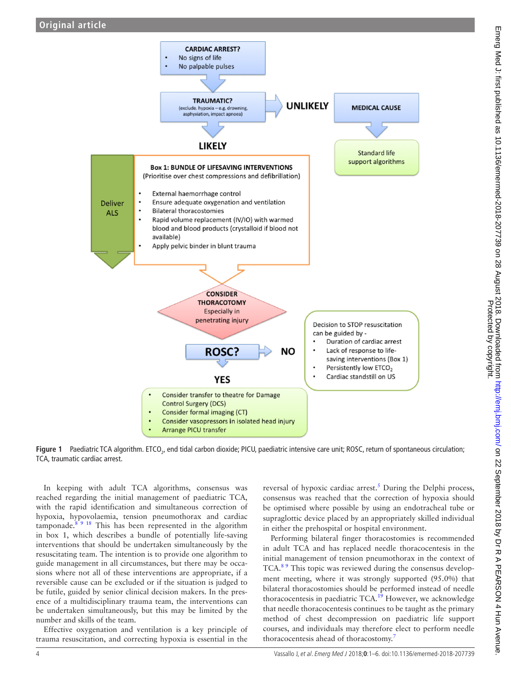

<span id="page-3-0"></span>Figure 1 Paediatric TCA algorithm. ETCO<sub>2</sub>, end tidal carbon dioxide; PICU, paediatric intensive care unit; ROSC, return of spontaneous circulation; TCA, traumatic cardiac arrest.

In keeping with adult TCA algorithms, consensus was reached regarding the initial management of paediatric TCA, with the rapid identification and simultaneous correction of hypoxia, hypovolaemia, tension pneumothorax and cardiac tamponade. $8918$  This has been represented in the algorithm in box 1, which describes a bundle of potentially life-saving interventions that should be undertaken simultaneously by the resuscitating team. The intention is to provide one algorithm to guide management in all circumstances, but there may be occasions where not all of these interventions are appropriate, if a reversible cause can be excluded or if the situation is judged to be futile, guided by senior clinical decision makers. In the presence of a multidisciplinary trauma team, the interventions can be undertaken simultaneously, but this may be limited by the number and skills of the team.

Effective oxygenation and ventilation is a key principle of trauma resuscitation, and correcting hypoxia is essential in the

reversal of hypoxic cardiac arrest.<sup>5</sup> During the Delphi process, consensus was reached that the correction of hypoxia should be optimised where possible by using an endotracheal tube or supraglottic device placed by an appropriately skilled individual in either the prehospital or hospital environment.

Performing bilateral finger thoracostomies is recommended in adult TCA and has replaced needle thoracocentesis in the initial management of tension pneumothorax in the context of TCA.<sup>8.9</sup> This topic was reviewed during the consensus development meeting, where it was strongly supported (95.0%) that bilateral thoracostomies should be performed instead of needle thoracocentesis in paediatric  $TCA$ <sup>19</sup> However, we acknowledge that needle thoracocentesis continues to be taught as the primary method of chest decompression on paediatric life support courses, and individuals may therefore elect to perform needle thoracocentesis ahead of thoracostomy.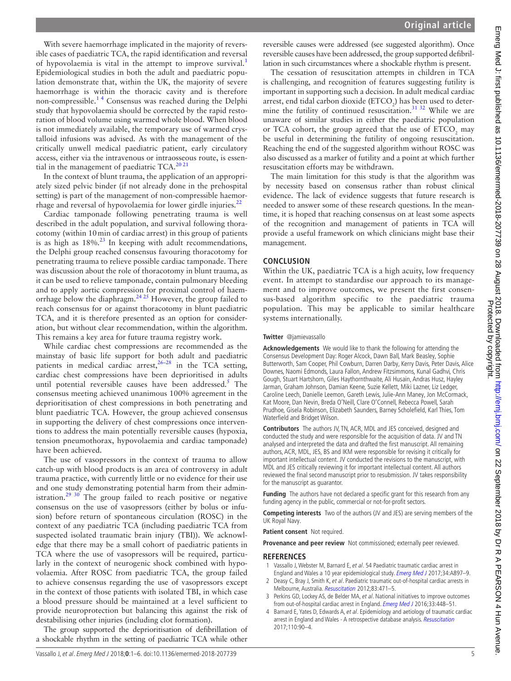With severe haemorrhage implicated in the majority of reversible cases of paediatric TCA, the rapid identification and reversal of hypovolaemia is vital in the attempt to improve survival.<sup>1</sup> Epidemiological studies in both the adult and paediatric population demonstrate that, within the UK, the majority of severe haemorrhage is within the thoracic cavity and is therefore non-compressible.[1 4](#page-4-0) Consensus was reached during the Delphi study that hypovolaemia should be corrected by the rapid restoration of blood volume using warmed whole blood. When blood is not immediately available, the temporary use of warmed crystalloid infusions was advised. As with the management of the critically unwell medical paediatric patient, early circulatory access, either via the intravenous or intraosseous route, is essential in the management of paediatric TCA.<sup>2021</sup>

In the context of blunt trauma, the application of an appropriately sized pelvic binder (if not already done in the prehospital setting) is part of the management of non-compressible haemorrhage and reversal of hypovolaemia for lower girdle injuries. $^{22}$ 

Cardiac tamponade following penetrating trauma is well described in the adult population, and survival following thoracotomy (within 10min of cardiac arrest) in this group of patients is as high as  $18\%$ .<sup>23</sup> In keeping with adult recommendations, the Delphi group reached consensus favouring thoracotomy for penetrating trauma to relieve possible cardiac tamponade. There was discussion about the role of thoracotomy in blunt trauma, as it can be used to relieve tamponade, contain pulmonary bleeding and to apply aortic compression for proximal control of haemorrhage below the diaphragm.<sup>24 25</sup> However, the group failed to reach consensus for or against thoracotomy in blunt paediatric TCA, and it is therefore presented as an option for consideration, but without clear recommendation, within the algorithm. This remains a key area for future trauma registry work.

While cardiac chest compressions are recommended as the mainstay of basic life support for both adult and paediatric patients in medical cardiac arrest,  $26-28$  in the TCA setting, cardiac chest compressions have been deprioritised in adults until potential reversible causes have been addressed.<sup>[5](#page-5-0)</sup> The consensus meeting achieved unanimous 100% agreement in the deprioritisation of chest compressions in both penetrating and blunt paediatric TCA. However, the group achieved consensus in supporting the delivery of chest compressions once interventions to address the main potentially reversible causes (hypoxia, tension pneumothorax, hypovolaemia and cardiac tamponade) have been achieved.

The use of vasopressors in the context of trauma to allow catch-up with blood products is an area of controversy in adult trauma practice, with currently little or no evidence for their use and one study demonstrating potential harm from their administration.<sup>29 30</sup> The group failed to reach positive or negative consensus on the use of vasopressors (either by bolus or infusion) before return of spontaneous circulation (ROSC) in the context of any paediatric TCA (including paediatric TCA from suspected isolated traumatic brain injury (TBI)). We acknowledge that there may be a small cohort of paediatric patients in TCA where the use of vasopressors will be required, particularly in the context of neurogenic shock combined with hypovolaemia. After ROSC from paediatric TCA, the group failed to achieve consensus regarding the use of vasopressors except in the context of those patients with isolated TBI, in which case a blood pressure should be maintained at a level sufficient to provide neuroprotection but balancing this against the risk of destabilising other injuries (including clot formation).

The group supported the deprioritisation of defibrillation of a shockable rhythm in the setting of paediatric TCA while other

reversible causes were addressed (see suggested algorithm). Once reversible causes have been addressed, the group supported defibrillation in such circumstances where a shockable rhythm is present.

The cessation of resuscitation attempts in children in TCA is challenging, and recognition of features suggesting futility is important in supporting such a decision. In adult medical cardiac arrest, end tidal carbon dioxide ( $ETCO<sub>2</sub>$ ) has been used to deter-mine the futility of continued resuscitation.<sup>[31 32](#page-5-17)</sup> While we are unaware of similar studies in either the paediatric population or TCA cohort, the group agreed that the use of  $\text{ETCO}_2$  may be useful in determining the futility of ongoing resuscitation. Reaching the end of the suggested algorithm without ROSC was also discussed as a marker of futility and a point at which further resuscitation efforts may be withdrawn.

The main limitation for this study is that the algorithm was by necessity based on consensus rather than robust clinical evidence. The lack of evidence suggests that future research is needed to answer some of these research questions. In the meantime, it is hoped that reaching consensus on at least some aspects of the recognition and management of patients in TCA will provide a useful framework on which clinicians might base their management.

## **Conclusion**

Within the UK, paediatric TCA is a high acuity, low frequency event. In attempt to standardise our approach to its management and to improve outcomes, we present the first consensus-based algorithm specific to the paediatric trauma population. This may be applicable to similar healthcare systems internationally.

#### **Twitter** @jamievassallo

**Acknowledgements** We would like to thank the following for attending the Consensus Development Day: Roger Alcock, Dawn Ball, Mark Beasley, Sophie Butterworth, Sam Cooper, Phil Cowburn, Darren Darby, Kerry Davis, Peter Davis, Alice Downes, Naomi Edmonds, Laura Fallon, Andrew Fitzsimmons, Kunal Gadhvi, Chris Gough, Stuart Hartshorn, Giles Haythornthwaite, Ali Husain, Andras Husz, Hayley Jarman, Graham Johnson, Damian Keene, Suzie Kellett, Miki Lazner, Liz Ledger, Caroline Leech, Danielle Leemon, Gareth Lewis, Julie-Ann Maney, Jon McCormack, Kat Moore, Dan Nevin, Breda O'Neill, Clare O'Connell, Rebecca Powell, Sarah Prudhoe, Gisela Robinson, Elizabeth Saunders, Barney Scholefield, Karl Thies, Tom Waterfield and Bridget Wilson.

**Contributors** The authors JV, TN, ACR, MDL and JES conceived, designed and conducted the study and were responsible for the acquisition of data. JV and TN analysed and interpreted the data and drafted the first manuscript. All remaining authors, ACR, MDL, JES, BS and IKM were responsible for revising it critically for important intellectual content. JV conducted the revisions to the manuscript, with MDL and JES critically reviewing it for important intellectual content. All authors reviewed the final second manuscript prior to resubmission. JV takes responsibility for the manuscript as guarantor.

**Funding** The authors have not declared a specific grant for this research from any funding agency in the public, commercial or not-for-profit sectors.

**Competing interests** Two of the authors (JV and JES) are serving members of the UK Royal Navy.

**Patient consent** Not required.

**Provenance and peer review** Not commissioned; externally peer reviewed.

#### **References**

- <span id="page-4-0"></span>1 Vassallo J, Webster M, Barnard E, et al. 54 Paediatric traumatic cardiac arrest in England and Wales a 10 year epidemiological study. [Emerg Med J](http://dx.doi.org/10.1136/emermed-2017-207308.54) 2017;34:A897-9.
- <span id="page-4-1"></span>2 Deasy C, Bray J, Smith K, et al. Paediatric traumatic out-of-hospital cardiac arrests in Melbourne, Australia. [Resuscitation](http://dx.doi.org/10.1016/j.resuscitation.2011.11.009) 2012;83:471-5.
- <span id="page-4-2"></span>3 Perkins GD, Lockey AS, de Belder MA, et al. National initiatives to improve outcomes from out-of-hospital cardiac arrest in England. [Emerg Med J](http://dx.doi.org/10.1136/emermed-2015-204847) 2016;33:448-51.
- <span id="page-4-3"></span>4 Barnard E, Yates D, Edwards A, et al. Epidemiology and aetiology of traumatic cardiac arrest in England and Wales - A retrospective database analysis. [Resuscitation](http://dx.doi.org/10.1016/j.resuscitation.2016.11.001) 2017;110:90–4.